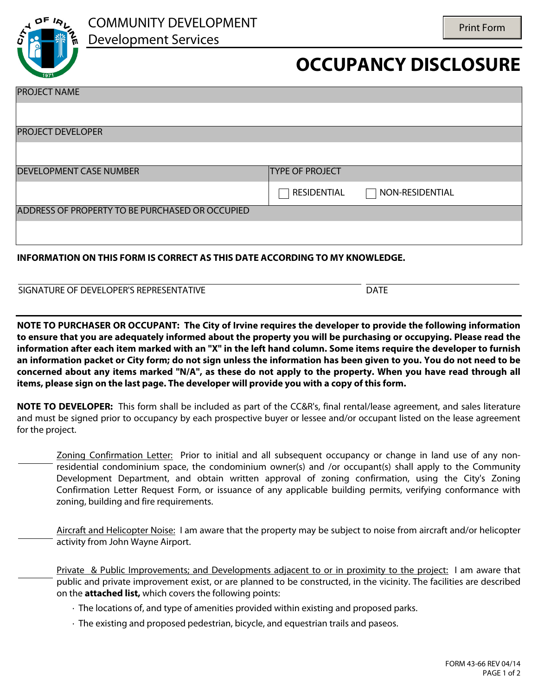

## **OCCUPANCY DISCLOSURE**

DATE

| <b>PROJECT NAME</b>                                                         |                        |                 |
|-----------------------------------------------------------------------------|------------------------|-----------------|
|                                                                             |                        |                 |
| <b>PROJECT DEVELOPER</b>                                                    |                        |                 |
|                                                                             |                        |                 |
| <b>DEVELOPMENT CASE NUMBER</b>                                              | <b>TYPE OF PROJECT</b> |                 |
|                                                                             | <b>RESIDENTIAL</b>     | NON-RESIDENTIAL |
| ADDRESS OF PROPERTY TO BE PURCHASED OR OCCUPIED                             |                        |                 |
|                                                                             |                        |                 |
| INFORMATION ON THIS FORM IS CORRECT AS THIS DATE ACCORDING TO MY KNOWLEDGE. |                        |                 |

**NOTE TO PURCHASER OR OCCUPANT: The City of Irvine requires the developer to provide the following information to ensure that you are adequately informed about the property you will be purchasing or occupying. Please read the information after each item marked with an "X" in the left hand column. Some items require the developer to furnish an information packet or City form; do not sign unless the information has been given to you. You do not need to be concerned about any items marked "N/A", as these do not apply to the property. When you have read through all items, please sign on the last page. The developer will provide you with a copy of this form.** 

**NOTE TO DEVELOPER:** This form shall be included as part of the CC&R's, final rental/lease agreement, and sales literature and must be signed prior to occupancy by each prospective buyer or lessee and/or occupant listed on the lease agreement for the project.

Zoning Confirmation Letter: Prior to initial and all subsequent occupancy or change in land use of any nonresidential condominium space, the condominium owner(s) and /or occupant(s) shall apply to the Community Development Department, and obtain written approval of zoning confirmation, using the City's Zoning Confirmation Letter Request Form, or issuance of any applicable building permits, verifying conformance with zoning, building and fire requirements.

Aircraft and Helicopter Noise: I am aware that the property may be subject to noise from aircraft and/or helicopter activity from John Wayne Airport.

Private & Public Improvements; and Developments adjacent to or in proximity to the project: I am aware that public and private improvement exist, or are planned to be constructed, in the vicinity. The facilities are described on the **attached list,** which covers the following points:

- · The locations of, and type of amenities provided within existing and proposed parks.
- · The existing and proposed pedestrian, bicycle, and equestrian trails and paseos.